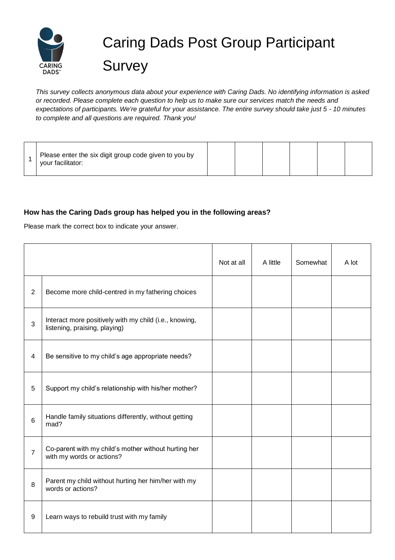

## Caring Dads Post Group Participant **Survey**

*This survey collects anonymous data about your experience with Caring Dads. No identifying information is asked or recorded. Please complete each question to help us to make sure our services match the needs and expectations of participants. We're grateful for your assistance. The entire survey should take just 5 - 10 minutes to complete and all questions are required. Thank you!*

| Please enter the six digit group code given to you by<br>vour facilitator: |  |  |  |  |  |  |
|----------------------------------------------------------------------------|--|--|--|--|--|--|
|----------------------------------------------------------------------------|--|--|--|--|--|--|

## **How has the Caring Dads group has helped you in the following areas?**

Please mark the correct box to indicate your answer.

|                |                                                                                         | Not at all | A little | Somewhat | A lot |
|----------------|-----------------------------------------------------------------------------------------|------------|----------|----------|-------|
| $\overline{2}$ | Become more child-centred in my fathering choices                                       |            |          |          |       |
| 3              | Interact more positively with my child (i.e., knowing,<br>listening, praising, playing) |            |          |          |       |
| 4              | Be sensitive to my child's age appropriate needs?                                       |            |          |          |       |
| 5              | Support my child's relationship with his/her mother?                                    |            |          |          |       |
| 6              | Handle family situations differently, without getting<br>mad?                           |            |          |          |       |
| $\overline{7}$ | Co-parent with my child's mother without hurting her<br>with my words or actions?       |            |          |          |       |
| 8              | Parent my child without hurting her him/her with my<br>words or actions?                |            |          |          |       |
| 9              | Learn ways to rebuild trust with my family                                              |            |          |          |       |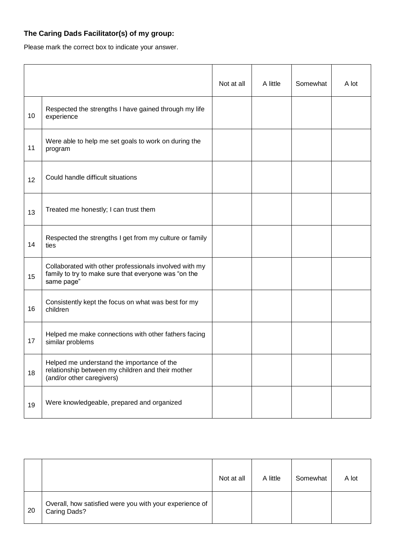## **The Caring Dads Facilitator(s) of my group:**

Please mark the correct box to indicate your answer.

|    |                                                                                                                              | Not at all | A little | Somewhat | A lot |
|----|------------------------------------------------------------------------------------------------------------------------------|------------|----------|----------|-------|
| 10 | Respected the strengths I have gained through my life<br>experience                                                          |            |          |          |       |
| 11 | Were able to help me set goals to work on during the<br>program                                                              |            |          |          |       |
| 12 | Could handle difficult situations                                                                                            |            |          |          |       |
| 13 | Treated me honestly; I can trust them                                                                                        |            |          |          |       |
| 14 | Respected the strengths I get from my culture or family<br>ties                                                              |            |          |          |       |
| 15 | Collaborated with other professionals involved with my<br>family to try to make sure that everyone was "on the<br>same page" |            |          |          |       |
| 16 | Consistently kept the focus on what was best for my<br>children                                                              |            |          |          |       |
| 17 | Helped me make connections with other fathers facing<br>similar problems                                                     |            |          |          |       |
| 18 | Helped me understand the importance of the<br>relationship between my children and their mother<br>(and/or other caregivers) |            |          |          |       |
| 19 | Were knowledgeable, prepared and organized                                                                                   |            |          |          |       |

|    |                                                                         | Not at all | A little | Somewhat | A lot |
|----|-------------------------------------------------------------------------|------------|----------|----------|-------|
| 20 | Overall, how satisfied were you with your experience of<br>Caring Dads? |            |          |          |       |